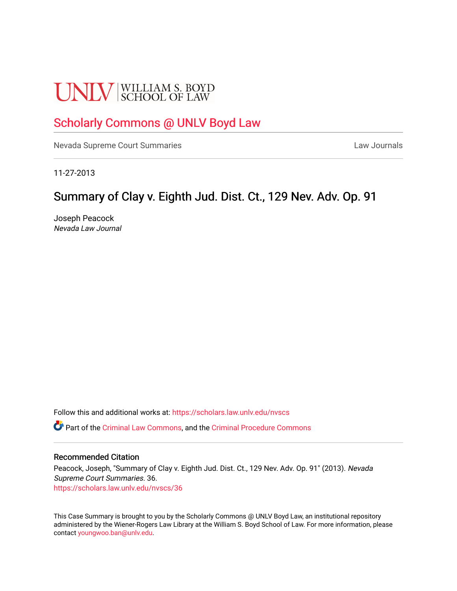# **UNLV** SCHOOL OF LAW

## [Scholarly Commons @ UNLV Boyd Law](https://scholars.law.unlv.edu/)

[Nevada Supreme Court Summaries](https://scholars.law.unlv.edu/nvscs) **Law Journals** Law Journals

11-27-2013

### Summary of Clay v. Eighth Jud. Dist. Ct., 129 Nev. Adv. Op. 91

Joseph Peacock Nevada Law Journal

Follow this and additional works at: [https://scholars.law.unlv.edu/nvscs](https://scholars.law.unlv.edu/nvscs?utm_source=scholars.law.unlv.edu%2Fnvscs%2F36&utm_medium=PDF&utm_campaign=PDFCoverPages)

Part of the [Criminal Law Commons,](http://network.bepress.com/hgg/discipline/912?utm_source=scholars.law.unlv.edu%2Fnvscs%2F36&utm_medium=PDF&utm_campaign=PDFCoverPages) and the [Criminal Procedure Commons](http://network.bepress.com/hgg/discipline/1073?utm_source=scholars.law.unlv.edu%2Fnvscs%2F36&utm_medium=PDF&utm_campaign=PDFCoverPages)

#### Recommended Citation

Peacock, Joseph, "Summary of Clay v. Eighth Jud. Dist. Ct., 129 Nev. Adv. Op. 91" (2013). Nevada Supreme Court Summaries. 36. [https://scholars.law.unlv.edu/nvscs/36](https://scholars.law.unlv.edu/nvscs/36?utm_source=scholars.law.unlv.edu%2Fnvscs%2F36&utm_medium=PDF&utm_campaign=PDFCoverPages) 

This Case Summary is brought to you by the Scholarly Commons @ UNLV Boyd Law, an institutional repository administered by the Wiener-Rogers Law Library at the William S. Boyd School of Law. For more information, please contact [youngwoo.ban@unlv.edu](mailto:youngwoo.ban@unlv.edu).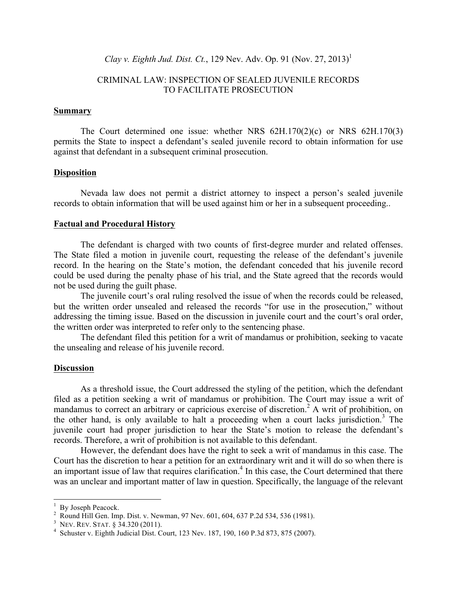*Clay v. Eighth Jud. Dist. Ct.*, 129 Nev. Adv. Op. 91 (Nov. 27, 2013)<sup>1</sup>

#### CRIMINAL LAW: INSPECTION OF SEALED JUVENILE RECORDS TO FACILITATE PROSECUTION

#### **Summary**

The Court determined one issue: whether NRS 62H.170(2)(c) or NRS 62H.170(3) permits the State to inspect a defendant's sealed juvenile record to obtain information for use against that defendant in a subsequent criminal prosecution.

#### **Disposition**

Nevada law does not permit a district attorney to inspect a person's sealed juvenile records to obtain information that will be used against him or her in a subsequent proceeding..

#### **Factual and Procedural History**

The defendant is charged with two counts of first-degree murder and related offenses. The State filed a motion in juvenile court, requesting the release of the defendant's juvenile record. In the hearing on the State's motion, the defendant conceded that his juvenile record could be used during the penalty phase of his trial, and the State agreed that the records would not be used during the guilt phase.

The juvenile court's oral ruling resolved the issue of when the records could be released, but the written order unsealed and released the records "for use in the prosecution," without addressing the timing issue. Based on the discussion in juvenile court and the court's oral order, the written order was interpreted to refer only to the sentencing phase.

The defendant filed this petition for a writ of mandamus or prohibition, seeking to vacate the unsealing and release of his juvenile record.

#### **Discussion**

As a threshold issue, the Court addressed the styling of the petition, which the defendant filed as a petition seeking a writ of mandamus or prohibition. The Court may issue a writ of mandamus to correct an arbitrary or capricious exercise of discretion.<sup>2</sup> A writ of prohibition, on the other hand, is only available to halt a proceeding when a court lacks jurisdiction.<sup>3</sup> The juvenile court had proper jurisdiction to hear the State's motion to release the defendant's records. Therefore, a writ of prohibition is not available to this defendant.

However, the defendant does have the right to seek a writ of mandamus in this case. The Court has the discretion to hear a petition for an extraordinary writ and it will do so when there is an important issue of law that requires clarification.<sup>4</sup> In this case, the Court determined that there was an unclear and important matter of law in question. Specifically, the language of the relevant

 $\frac{1}{1}$  $\frac{1}{2}$  By Joseph Peacock.

<sup>&</sup>lt;sup>2</sup> Round Hill Gen. Imp. Dist. v. Newman, 97 Nev. 601, 604, 637 P.2d 534, 536 (1981).

<sup>&</sup>lt;sup>3</sup> NEV. REV. STAT.  $\hat{\S}$  34.320 (2011).

Schuster v. Eighth Judicial Dist. Court, 123 Nev. 187, 190, 160 P.3d 873, 875 (2007).